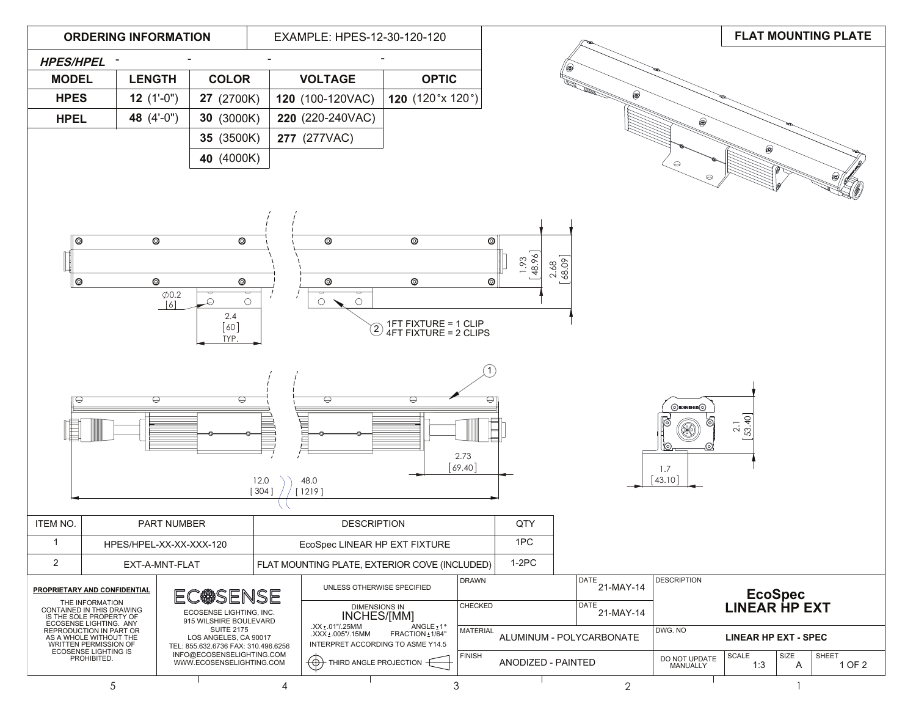